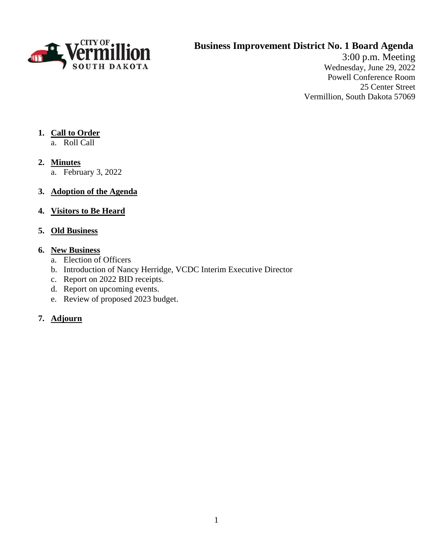

## **Business Improvement District No. 1 Board Agenda**

3:00 p.m. Meeting Wednesday, June 29, 2022 Powell Conference Room 25 Center Street Vermillion, South Dakota 57069

## **1. Call to Order**

- a. Roll Call
- **2. Minutes**
	- a. February 3, 2022

## **3. Adoption of the Agenda**

## **4. Visitors to Be Heard**

## **5. Old Business**

#### **6. New Business**

- a. Election of Officers
- b. Introduction of Nancy Herridge, VCDC Interim Executive Director
- c. Report on 2022 BID receipts.
- d. Report on upcoming events.
- e. Review of proposed 2023 budget.

## **7. Adjourn**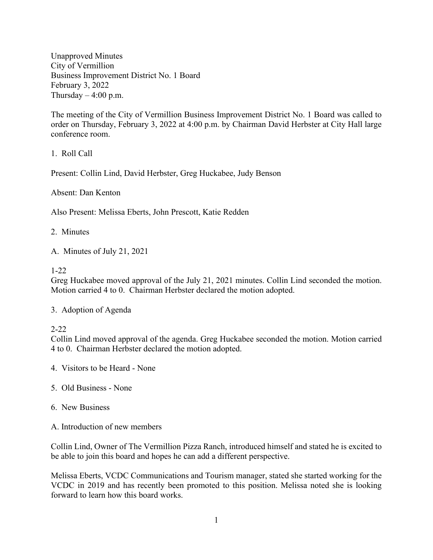Unapproved Minutes City of Vermillion Business Improvement District No. 1 Board February 3, 2022 Thursday  $-4:00$  p.m.

The meeting of the City of Vermillion Business Improvement District No. 1 Board was called to order on Thursday, February 3, 2022 at 4:00 p.m. by Chairman David Herbster at City Hall large conference room.

1. Roll Call

Present: Collin Lind, David Herbster, Greg Huckabee, Judy Benson

Absent: Dan Kenton

Also Present: Melissa Eberts, John Prescott, Katie Redden

2. Minutes

A. Minutes of July 21, 2021

#### 1-22

Greg Huckabee moved approval of the July 21, 2021 minutes. Collin Lind seconded the motion. Motion carried 4 to 0. Chairman Herbster declared the motion adopted.

3. Adoption of Agenda

#### 2-22

Collin Lind moved approval of the agenda. Greg Huckabee seconded the motion. Motion carried 4 to 0. Chairman Herbster declared the motion adopted.

4. Visitors to be Heard - None

- 5. Old Business None
- 6. New Business
- A. Introduction of new members

Collin Lind, Owner of The Vermillion Pizza Ranch, introduced himself and stated he is excited to be able to join this board and hopes he can add a different perspective.

Melissa Eberts, VCDC Communications and Tourism manager, stated she started working for the VCDC in 2019 and has recently been promoted to this position. Melissa noted she is looking forward to learn how this board works.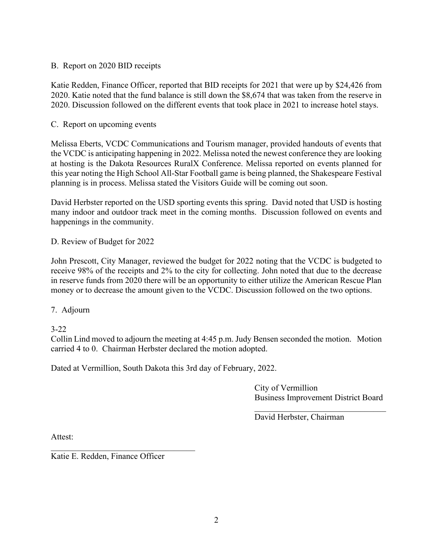#### B. Report on 2020 BID receipts

Katie Redden, Finance Officer, reported that BID receipts for 2021 that were up by \$24,426 from 2020. Katie noted that the fund balance is still down the \$8,674 that was taken from the reserve in 2020. Discussion followed on the different events that took place in 2021 to increase hotel stays.

#### C. Report on upcoming events

Melissa Eberts, VCDC Communications and Tourism manager, provided handouts of events that the VCDC is anticipating happening in 2022. Melissa noted the newest conference they are looking at hosting is the Dakota Resources RuralX Conference. Melissa reported on events planned for this year noting the High School All-Star Football game is being planned, the Shakespeare Festival planning is in process. Melissa stated the Visitors Guide will be coming out soon.

David Herbster reported on the USD sporting events this spring. David noted that USD is hosting many indoor and outdoor track meet in the coming months. Discussion followed on events and happenings in the community.

D. Review of Budget for 2022

John Prescott, City Manager, reviewed the budget for 2022 noting that the VCDC is budgeted to receive 98% of the receipts and 2% to the city for collecting. John noted that due to the decrease in reserve funds from 2020 there will be an opportunity to either utilize the American Rescue Plan money or to decrease the amount given to the VCDC. Discussion followed on the two options.

7. Adjourn

3-22

Collin Lind moved to adjourn the meeting at 4:45 p.m. Judy Bensen seconded the motion. Motion carried 4 to 0. Chairman Herbster declared the motion adopted.

Dated at Vermillion, South Dakota this 3rd day of February, 2022.

City of Vermillion Business Improvement District Board

 $\mathcal{L}_\mathcal{L}$ 

David Herbster, Chairman

Attest:

Katie E. Redden, Finance Officer

 $\mathcal{L}_\mathcal{L}$  , which is a set of the set of the set of the set of the set of the set of the set of the set of the set of the set of the set of the set of the set of the set of the set of the set of the set of the set of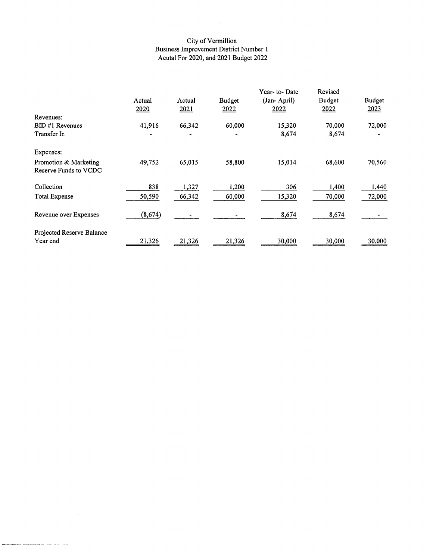# City of Vermillion<br>Business Improvement District Number 1<br>Acutal For 2020, and 2021 Budget 2022

|                           |          |        |               | Year-to-Date | Revised       |        |
|---------------------------|----------|--------|---------------|--------------|---------------|--------|
|                           | Actual   | Actual | <b>Budget</b> | (Jan-April)  | <b>Budget</b> | Budget |
|                           | 2020     | 2021   | 2022          | 2022         | 2022          | 2023   |
| Revenues:                 |          |        |               |              |               |        |
| BID #1 Revenues           | 41,916   | 66,342 | 60,000        | 15,320       | 70,000        | 72,000 |
| Transfer In               |          |        |               | 8,674        | 8,674         |        |
| Expenses:                 |          |        |               |              |               |        |
| Promotion & Marketing     | 49,752   | 65,015 | 58,800        | 15,014       | 68,600        | 70,560 |
| Reserve Funds to VCDC     |          |        |               |              |               |        |
| Collection                | 838      | 1,327  | 1,200         | 306          | 1,400         | 1,440  |
| <b>Total Expense</b>      | 50,590   | 66,342 | 60,000        | 15,320       | 70,000        | 72,000 |
| Revenue over Expenses     | (8, 674) |        |               | 8,674        | 8,674         |        |
| Projected Reserve Balance |          |        |               |              |               |        |
| Year end                  | 21,326   | 21,326 | 21,326        | 30,000       | 30,000        | 30,000 |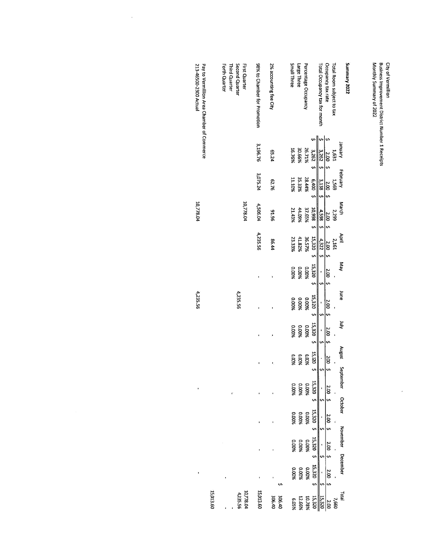| Pay to Vermillion Area Chamber of Commerce<br>213-46500-2300 Actual | Second Quarter<br><b>First Quarter</b><br>Forth Quarter<br>Third Quarter | 98% to Chamber for Promotion | 2% accounting fee City | Business Improvement District Number 1 Receipts<br>Occupancy tax.rate<br>Monthly Summary of 2022<br>Small Three<br>Summary 2022<br>City of Vermillion<br>Percentage Occupancy<br>Total Room subject to tax<br>Large Three<br>Total Occupancy tax for month |
|---------------------------------------------------------------------|--------------------------------------------------------------------------|------------------------------|------------------------|------------------------------------------------------------------------------------------------------------------------------------------------------------------------------------------------------------------------------------------------------------|
|                                                                     |                                                                          | 3,196.76                     | PZ'S9                  | $\lVert \mathbf{v} \rVert$<br>s,<br>s<br>Nenuer<br>30.66%<br>16.76%<br>26.71%<br>3,262, 5<br>3,262<br>1.631<br>2.00 \$<br>ò,                                                                                                                               |
|                                                                     |                                                                          | 3,075.24                     | 97.79                  | February<br>35.33%<br>11.10%<br>28.44%<br>6,400, 5<br>3,138<br>1,569<br>2.0055<br>'n,                                                                                                                                                                      |
| 10,778.04                                                           | 10,778.04                                                                | 4,506.04                     | 96.16                  | March<br>866'01<br>44.09%<br>37.65%<br>21,43%<br><b>66Z'Z</b><br>4,598<br>2.00 \$<br>n<br>n                                                                                                                                                                |
|                                                                     |                                                                          | 4,235.56                     | 86.44                  | April<br>15,320 \$<br>41.82%<br>23.33%<br>36.57%<br>4,322<br>2,161<br>$2.00\pm$<br>÷,                                                                                                                                                                      |
|                                                                     |                                                                          |                              |                        | <b>AeM</b><br>15,320<br>0.00%<br>9600%<br>9600'0<br>$200\frac{5}{5}$<br>m                                                                                                                                                                                  |
| 4,235.56                                                            | 4,235.56                                                                 |                              |                        | punp<br>15,320 \$<br>0.00%<br>9600%<br>900%<br>$2.00 - 5$                                                                                                                                                                                                  |
|                                                                     |                                                                          |                              |                        | ξ<br>15,320<br>0.00%<br>9600%<br>9000%<br>2.0025<br>ġ,<br>s                                                                                                                                                                                                |
|                                                                     |                                                                          |                              | 1                      | August<br>15,320 \$<br><b>0.0%</b><br>9600'0<br>0.00%<br>5002                                                                                                                                                                                              |
|                                                                     |                                                                          |                              |                        | September October<br>15,320 \$<br>0.00%<br>0.00%<br>900%<br><b>2.00 \$</b>                                                                                                                                                                                 |
|                                                                     |                                                                          |                              |                        | 15,320<br>%00.0<br>%00.0<br>%00.0<br>$2.00\pm 5$<br>'n                                                                                                                                                                                                     |
|                                                                     |                                                                          |                              |                        | November December<br>15,320<br>0.00%<br>0.00%<br>0.00%<br>2.00 \$                                                                                                                                                                                          |
|                                                                     |                                                                          |                              |                        | 15,320 \$<br>%00.0<br>%00.0<br>%00.0<br>2.00 \$                                                                                                                                                                                                            |
| 15,013.60                                                           | 10,778.04<br>4235.56                                                     | 15,013.60                    | 306.40<br>306.40       | <b>Tatal</b><br>15,320<br>10.78%<br>12.66%<br>15,320<br>%50'9<br>7,660<br>2.00                                                                                                                                                                             |

 $\frac{1}{2}$ 

 $\frac{1}{2}$